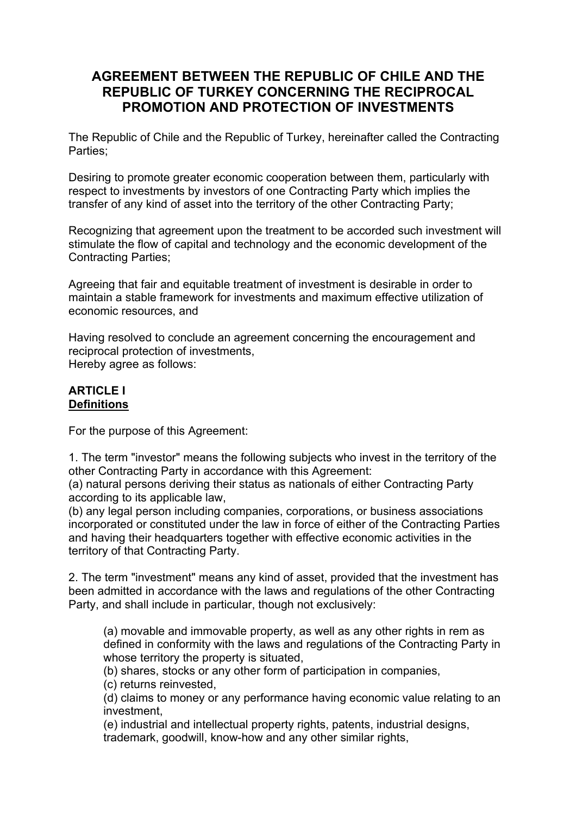# **AGREEMENT BETWEEN THE REPUBLIC OF CHILE AND THE REPUBLIC OF TURKEY CONCERNING THE RECIPROCAL PROMOTION AND PROTECTION OF INVESTMENTS**

The Republic of Chile and the Republic of Turkey, hereinafter called the Contracting Parties;

Desiring to promote greater economic cooperation between them, particularly with respect to investments by investors of one Contracting Party which implies the transfer of any kind of asset into the territory of the other Contracting Party;

Recognizing that agreement upon the treatment to be accorded such investment will stimulate the flow of capital and technology and the economic development of the Contracting Parties;

Agreeing that fair and equitable treatment of investment is desirable in order to maintain a stable framework for investments and maximum effective utilization of economic resources, and

Having resolved to conclude an agreement concerning the encouragement and reciprocal protection of investments, Hereby agree as follows:

#### **ARTICLE I Definitions**

For the purpose of this Agreement:

1. The term "investor" means the following subjects who invest in the territory of the other Contracting Party in accordance with this Agreement:

(a) natural persons deriving their status as nationals of either Contracting Party according to its applicable law,

(b) any legal person including companies, corporations, or business associations incorporated or constituted under the law in force of either of the Contracting Parties and having their headquarters together with effective economic activities in the territory of that Contracting Party.

2. The term "investment" means any kind of asset, provided that the investment has been admitted in accordance with the laws and regulations of the other Contracting Party, and shall include in particular, though not exclusively:

(a) movable and immovable property, as well as any other rights in rem as defined in conformity with the laws and regulations of the Contracting Party in whose territory the property is situated,

(b) shares, stocks or any other form of participation in companies,

(c) returns reinvested,

(d) claims to money or any performance having economic value relating to an investment,

(e) industrial and intellectual property rights, patents, industrial designs, trademark, goodwill, know-how and any other similar rights,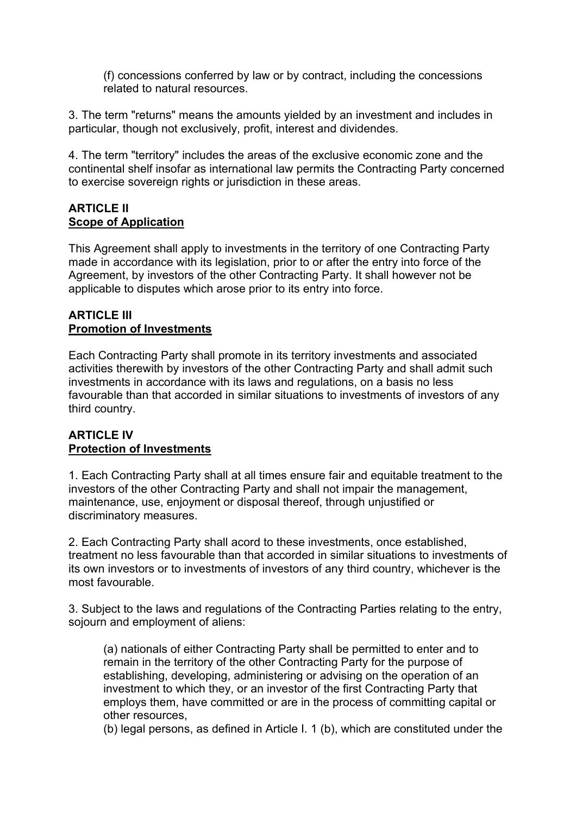(f) concessions conferred by law or by contract, including the concessions related to natural resources.

3. The term "returns" means the amounts yielded by an investment and includes in particular, though not exclusively, profit, interest and dividendes.

4. The term "territory" includes the areas of the exclusive economic zone and the continental shelf insofar as international law permits the Contracting Party concerned to exercise sovereign rights or jurisdiction in these areas.

#### **ARTICI F II Scope of Application**

This Agreement shall apply to investments in the territory of one Contracting Party made in accordance with its legislation, prior to or after the entry into force of the Agreement, by investors of the other Contracting Party. It shall however not be applicable to disputes which arose prior to its entry into force.

#### **ARTICLE III Promotion of Investments**

Each Contracting Party shall promote in its territory investments and associated activities therewith by investors of the other Contracting Party and shall admit such investments in accordance with its laws and regulations, on a basis no less favourable than that accorded in similar situations to investments of investors of any third country.

### **ARTICLE IV Protection of Investments**

1. Each Contracting Party shall at all times ensure fair and equitable treatment to the investors of the other Contracting Party and shall not impair the management, maintenance, use, enjoyment or disposal thereof, through unjustified or discriminatory measures.

2. Each Contracting Party shall acord to these investments, once established, treatment no less favourable than that accorded in similar situations to investments of its own investors or to investments of investors of any third country, whichever is the most favourable.

3. Subject to the laws and regulations of the Contracting Parties relating to the entry, sojourn and employment of aliens:

(a) nationals of either Contracting Party shall be permitted to enter and to remain in the territory of the other Contracting Party for the purpose of establishing, developing, administering or advising on the operation of an investment to which they, or an investor of the first Contracting Party that employs them, have committed or are in the process of committing capital or other resources,

(b) legal persons, as defined in Article I. 1 (b), which are constituted under the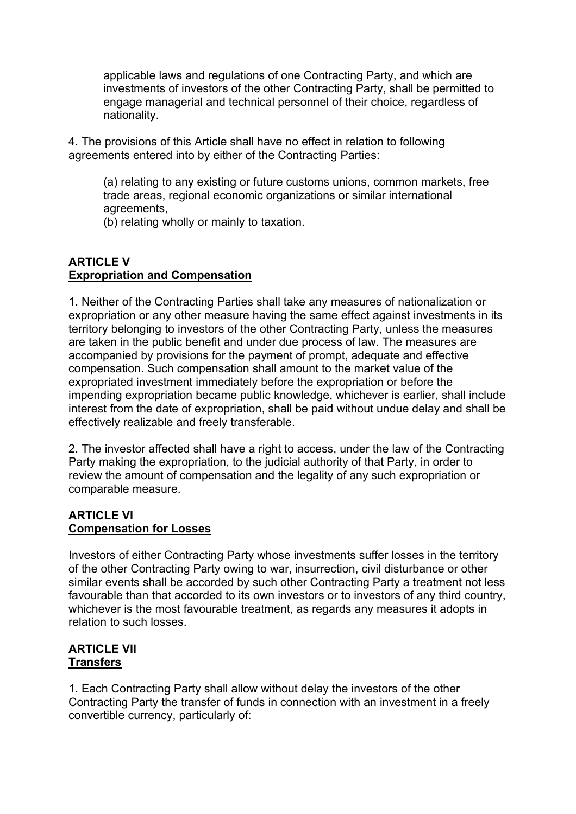applicable laws and regulations of one Contracting Party, and which are investments of investors of the other Contracting Party, shall be permitted to engage managerial and technical personnel of their choice, regardless of nationality.

4. The provisions of this Article shall have no effect in relation to following agreements entered into by either of the Contracting Parties:

(a) relating to any existing or future customs unions, common markets, free trade areas, regional economic organizations or similar international agreements,

(b) relating wholly or mainly to taxation.

### **ARTICLE V Expropriation and Compensation**

1. Neither of the Contracting Parties shall take any measures of nationalization or expropriation or any other measure having the same effect against investments in its territory belonging to investors of the other Contracting Party, unless the measures are taken in the public benefit and under due process of law. The measures are accompanied by provisions for the payment of prompt, adequate and effective compensation. Such compensation shall amount to the market value of the expropriated investment immediately before the expropriation or before the impending expropriation became public knowledge, whichever is earlier, shall include interest from the date of expropriation, shall be paid without undue delay and shall be effectively realizable and freely transferable.

2. The investor affected shall have a right to access, under the law of the Contracting Party making the expropriation, to the judicial authority of that Party, in order to review the amount of compensation and the legality of any such expropriation or comparable measure.

#### **ARTICLE VI Compensation for Losses**

Investors of either Contracting Party whose investments suffer losses in the territory of the other Contracting Party owing to war, insurrection, civil disturbance or other similar events shall be accorded by such other Contracting Party a treatment not less favourable than that accorded to its own investors or to investors of any third country, whichever is the most favourable treatment, as regards any measures it adopts in relation to such losses.

#### **ARTICLE VII Transfers**

1. Each Contracting Party shall allow without delay the investors of the other Contracting Party the transfer of funds in connection with an investment in a freely convertible currency, particularly of: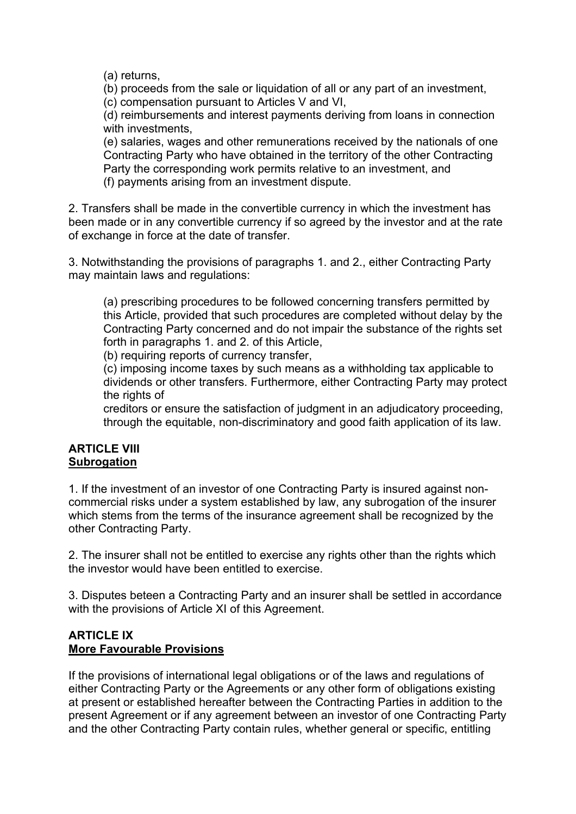(a) returns,

(b) proceeds from the sale or liquidation of all or any part of an investment, (c) compensation pursuant to Articles V and VI,

(d) reimbursements and interest payments deriving from loans in connection with investments,

(e) salaries, wages and other remunerations received by the nationals of one Contracting Party who have obtained in the territory of the other Contracting Party the corresponding work permits relative to an investment, and (f) payments arising from an investment dispute.

2. Transfers shall be made in the convertible currency in which the investment has been made or in any convertible currency if so agreed by the investor and at the rate of exchange in force at the date of transfer.

3. Notwithstanding the provisions of paragraphs 1. and 2., either Contracting Party may maintain laws and regulations:

(a) prescribing procedures to be followed concerning transfers permitted by this Article, provided that such procedures are completed without delay by the Contracting Party concerned and do not impair the substance of the rights set forth in paragraphs 1. and 2. of this Article,

(b) requiring reports of currency transfer,

(c) imposing income taxes by such means as a withholding tax applicable to dividends or other transfers. Furthermore, either Contracting Party may protect the rights of

creditors or ensure the satisfaction of judgment in an adjudicatory proceeding, through the equitable, non-discriminatory and good faith application of its law.

#### **ARTICLE VIII Subrogation**

1. If the investment of an investor of one Contracting Party is insured against noncommercial risks under a system established by law, any subrogation of the insurer which stems from the terms of the insurance agreement shall be recognized by the other Contracting Party.

2. The insurer shall not be entitled to exercise any rights other than the rights which the investor would have been entitled to exercise.

3. Disputes beteen a Contracting Party and an insurer shall be settled in accordance with the provisions of Article XI of this Agreement.

#### **ARTICLE IX More Favourable Provisions**

If the provisions of international legal obligations or of the laws and regulations of either Contracting Party or the Agreements or any other form of obligations existing at present or established hereafter between the Contracting Parties in addition to the present Agreement or if any agreement between an investor of one Contracting Party and the other Contracting Party contain rules, whether general or specific, entitling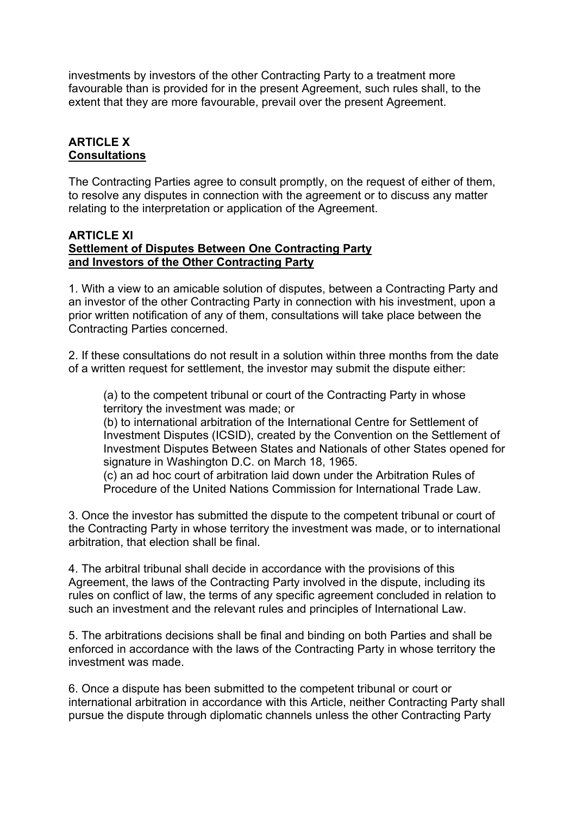investments by investors of the other Contracting Party to a treatment more favourable than is provided for in the present Agreement, such rules shall, to the extent that they are more favourable, prevail over the present Agreement.

### **ARTICLE X Consultations**

The Contracting Parties agree to consult promptly, on the request of either of them, to resolve any disputes in connection with the agreement or to discuss any matter relating to the interpretation or application of the Agreement.

#### **ARTICLE XI Settlement of Disputes Between One Contracting Party and Investors of the Other Contracting Party**

1. With a view to an amicable solution of disputes, between a Contracting Party and an investor of the other Contracting Party in connection with his investment, upon a prior written notification of any of them, consultations will take place between the Contracting Parties concerned.

2. If these consultations do not result in a solution within three months from the date of a written request for settlement, the investor may submit the dispute either:

(a) to the competent tribunal or court of the Contracting Party in whose territory the investment was made; or

(b) to international arbitration of the International Centre for Settlement of Investment Disputes (ICSID), created by the Convention on the Settlement of Investment Disputes Between States and Nationals of other States opened for signature in Washington D.C. on March 18, 1965.

(c) an ad hoc court of arbitration laid down under the Arbitration Rules of Procedure of the United Nations Commission for International Trade Law.

3. Once the investor has submitted the dispute to the competent tribunal or court of the Contracting Party in whose territory the investment was made, or to international arbitration, that election shall be final.

4. The arbitral tribunal shall decide in accordance with the provisions of this Agreement, the laws of the Contracting Party involved in the dispute, including its rules on conflict of law, the terms of any specific agreement concluded in relation to such an investment and the relevant rules and principles of International Law.

5. The arbitrations decisions shall be final and binding on both Parties and shall be enforced in accordance with the laws of the Contracting Party in whose territory the investment was made.

6. Once a dispute has been submitted to the competent tribunal or court or international arbitration in accordance with this Article, neither Contracting Party shall pursue the dispute through diplomatic channels unless the other Contracting Party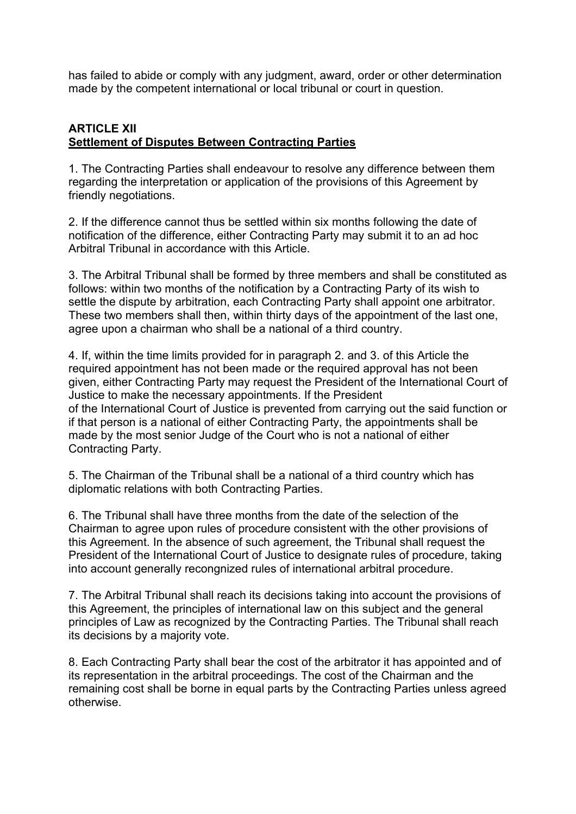has failed to abide or comply with any judgment, award, order or other determination made by the competent international or local tribunal or court in question.

### **ARTICLE XII Settlement of Disputes Between Contracting Parties**

1. The Contracting Parties shall endeavour to resolve any difference between them regarding the interpretation or application of the provisions of this Agreement by friendly negotiations.

2. If the difference cannot thus be settled within six months following the date of notification of the difference, either Contracting Party may submit it to an ad hoc Arbitral Tribunal in accordance with this Article.

3. The Arbitral Tribunal shall be formed by three members and shall be constituted as follows: within two months of the notification by a Contracting Party of its wish to settle the dispute by arbitration, each Contracting Party shall appoint one arbitrator. These two members shall then, within thirty days of the appointment of the last one, agree upon a chairman who shall be a national of a third country.

4. If, within the time limits provided for in paragraph 2. and 3. of this Article the required appointment has not been made or the required approval has not been given, either Contracting Party may request the President of the International Court of Justice to make the necessary appointments. If the President of the International Court of Justice is prevented from carrying out the said function or if that person is a national of either Contracting Party, the appointments shall be made by the most senior Judge of the Court who is not a national of either Contracting Party.

5. The Chairman of the Tribunal shall be a national of a third country which has diplomatic relations with both Contracting Parties.

6. The Tribunal shall have three months from the date of the selection of the Chairman to agree upon rules of procedure consistent with the other provisions of this Agreement. In the absence of such agreement, the Tribunal shall request the President of the International Court of Justice to designate rules of procedure, taking into account generally recongnized rules of international arbitral procedure.

7. The Arbitral Tribunal shall reach its decisions taking into account the provisions of this Agreement, the principles of international law on this subject and the general principles of Law as recognized by the Contracting Parties. The Tribunal shall reach its decisions by a majority vote.

8. Each Contracting Party shall bear the cost of the arbitrator it has appointed and of its representation in the arbitral proceedings. The cost of the Chairman and the remaining cost shall be borne in equal parts by the Contracting Parties unless agreed otherwise.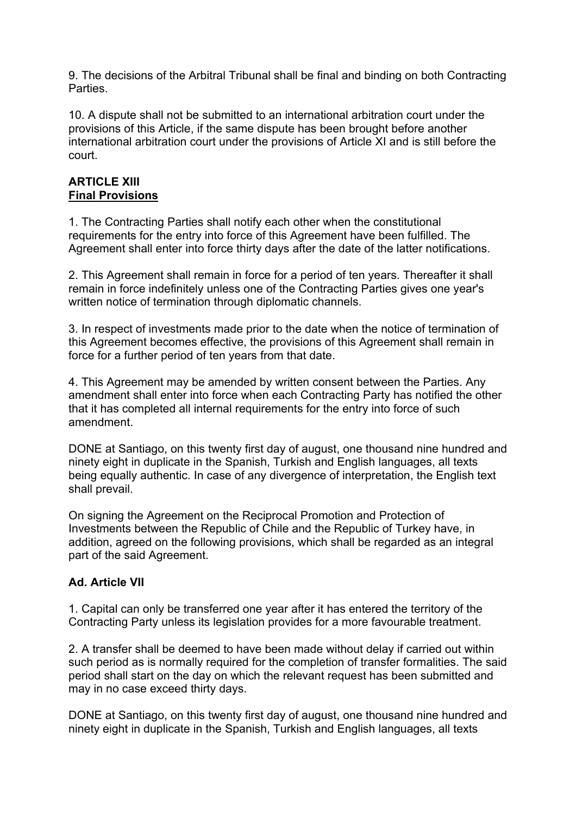9. The decisions of the Arbitral Tribunal shall be final and binding on both Contracting Parties.

10. A dispute shall not be submitted to an international arbitration court under the provisions of this Article, if the same dispute has been brought before another international arbitration court under the provisions of Article XI and is still before the court.

#### **ARTICLE XIII Final Provisions**

1. The Contracting Parties shall notify each other when the constitutional requirements for the entry into force of this Agreement have been fulfilled. The Agreement shall enter into force thirty days after the date of the latter notifications.

2. This Agreement shall remain in force for a period of ten years. Thereafter it shall remain in force indefinitely unless one of the Contracting Parties gives one year's written notice of termination through diplomatic channels.

3. In respect of investments made prior to the date when the notice of termination of this Agreement becomes effective, the provisions of this Agreement shall remain in force for a further period of ten years from that date.

4. This Agreement may be amended by written consent between the Parties. Any amendment shall enter into force when each Contracting Party has notified the other that it has completed all internal requirements for the entry into force of such amendment.

DONE at Santiago, on this twenty first day of august, one thousand nine hundred and ninety eight in duplicate in the Spanish, Turkish and English languages, all texts being equally authentic. In case of any divergence of interpretation, the English text shall prevail.

On signing the Agreement on the Reciprocal Promotion and Protection of Investments between the Republic of Chile and the Republic of Turkey have, in addition, agreed on the following provisions, which shall be regarded as an integral part of the said Agreement.

## **Ad. Article VII**

1. Capital can only be transferred one year after it has entered the territory of the Contracting Party unless its legislation provides for a more favourable treatment.

2. A transfer shall be deemed to have been made without delay if carried out within such period as is normally required for the completion of transfer formalities. The said period shall start on the day on which the relevant request has been submitted and may in no case exceed thirty days.

DONE at Santiago, on this twenty first day of august, one thousand nine hundred and ninety eight in duplicate in the Spanish, Turkish and English languages, all texts